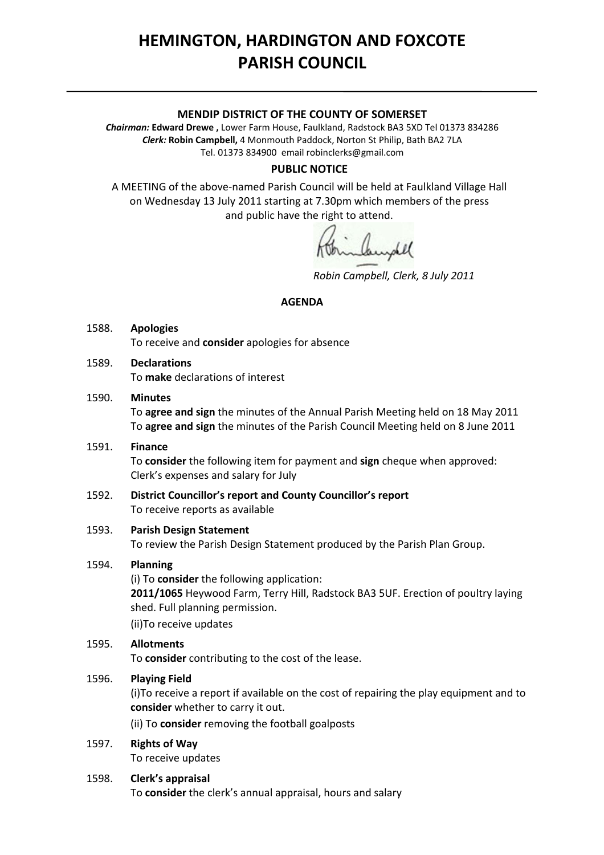# **HEMINGTON, HARDINGTON AND FOXCOTE PARISH COUNCIL**

## **MENDIP DISTRICT OF THE COUNTY OF SOMERSET**

*Chairman:* **Edward Drewe ,** Lower Farm House, Faulkland, Radstock BA3 5XD Tel 01373 834286 *Clerk:* **Robin Campbell,** 4 Monmouth Paddock, Norton St Philip, Bath BA2 7LA Tel. 01373 834900 email [robinclerks@gmail.com](mailto:robinclerks@googlemail.com)

#### **PUBLIC NOTICE**

A MEETING of the above‐named Parish Council will be held at Faulkland Village Hall on Wednesday 13 July 2011 starting at 7.30pm which members of the press and public have the right to attend.

mandel

*Robin Campbell, Clerk, 8 July 2011*

#### **AGENDA**

- 1588. **Apologies** To receive and **consider** apologies for absence
- 1589. **Declarations** To **make** declarations of interest
- 1590. **Minutes**

 To **agree and sign** the minutes of the Annual Parish Meeting held on 18 May 2011 To **agree and sign** the minutes of the Parish Council Meeting held on 8 June 2011

1591. **Finance**

 To **consider** the following item for payment and **sign** cheque when approved: Clerk's expenses and salary for July

1592. **District Councillor's report and County Councillor's report**  To receive reports as available

#### 1593. **Parish Design Statement**

To review the Parish Design Statement produced by the Parish Plan Group.

# 1594. **Planning**

(i) To **consider** the following application: **2011/1065** Heywood Farm, Terry Hill, Radstock BA3 5UF. Erection of poultry laying shed. Full planning permission. (ii)To receive updates

## 1595. **Allotments**

To **consider** contributing to the cost of the lease.

## 1596. **Playing Field**

(i)To receive a report if available on the cost of repairing the play equipment and to **consider** whether to carry it out.

(ii) To **consider** removing the football goalposts

- 1597. **Rights of Way** To receive updates
- 1598. **Clerk's appraisal** To **consider** the clerk's annual appraisal, hours and salary